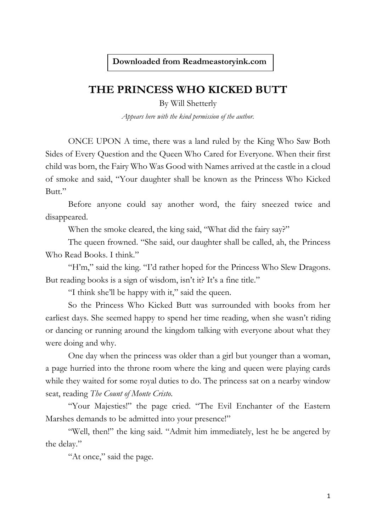## **THE PRINCESS WHO KICKED BUTT**

By Will Shetterly

*Appears here with the kind permission of the author.*

ONCE UPON A time, there was a land ruled by the King Who Saw Both Sides of Every Question and the Queen Who Cared for Everyone. When their first child was born, the Fairy Who Was Good with Names arrived at the castle in a cloud of smoke and said, "Your daughter shall be known as the Princess Who Kicked Butt."

Before anyone could say another word, the fairy sneezed twice and disappeared.

When the smoke cleared, the king said, "What did the fairy say?"

The queen frowned. "She said, our daughter shall be called, ah, the Princess Who Read Books. I think."

"H'm," said the king. "I'd rather hoped for the Princess Who Slew Dragons. But reading books is a sign of wisdom, isn't it? It's a fine title."

"I think she'll be happy with it," said the queen.

So the Princess Who Kicked Butt was surrounded with books from her earliest days. She seemed happy to spend her time reading, when she wasn't riding or dancing or running around the kingdom talking with everyone about what they were doing and why.

One day when the princess was older than a girl but younger than a woman, a page hurried into the throne room where the king and queen were playing cards while they waited for some royal duties to do. The princess sat on a nearby window seat, reading *The Count of Monte Cristo*.

"Your Majesties!" the page cried. "The Evil Enchanter of the Eastern Marshes demands to be admitted into your presence!"

"Well, then!" the king said. "Admit him immediately, lest he be angered by the delay."

"At once," said the page.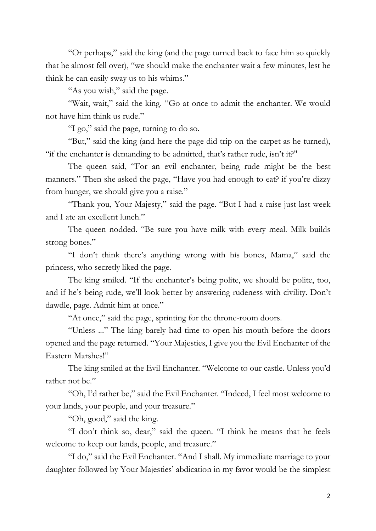"Or perhaps," said the king (and the page turned back to face him so quickly that he almost fell over), "we should make the enchanter wait a few minutes, lest he think he can easily sway us to his whims."

"As you wish," said the page.

"Wait, wait," said the king. "Go at once to admit the enchanter. We would not have him think us rude."

"I go," said the page, turning to do so.

"But," said the king (and here the page did trip on the carpet as he turned), "if the enchanter is demanding to be admitted, that's rather rude, isn't it?"

The queen said, "For an evil enchanter, being rude might be the best manners." Then she asked the page, "Have you had enough to eat? if you're dizzy from hunger, we should give you a raise."

"Thank you, Your Majesty," said the page. "But I had a raise just last week and I ate an excellent lunch."

The queen nodded. "Be sure you have milk with every meal. Milk builds strong bones."

"I don't think there's anything wrong with his bones, Mama," said the princess, who secretly liked the page.

The king smiled. "If the enchanter's being polite, we should be polite, too, and if he's being rude, we'll look better by answering rudeness with civility. Don't dawdle, page. Admit him at once."

"At once," said the page, sprinting for the throne-room doors.

"Unless ..." The king barely had time to open his mouth before the doors opened and the page returned. "Your Majesties, I give you the Evil Enchanter of the Eastern Marshes!"

The king smiled at the Evil Enchanter. "Welcome to our castle. Unless you'd rather not be."

"Oh, I'd rather be," said the Evil Enchanter. "Indeed, I feel most welcome to your lands, your people, and your treasure."

"Oh, good," said the king.

"I don't think so, dear," said the queen. "I think he means that he feels welcome to keep our lands, people, and treasure."

"I do," said the Evil Enchanter. "And I shall. My immediate marriage to your daughter followed by Your Majesties' abdication in my favor would be the simplest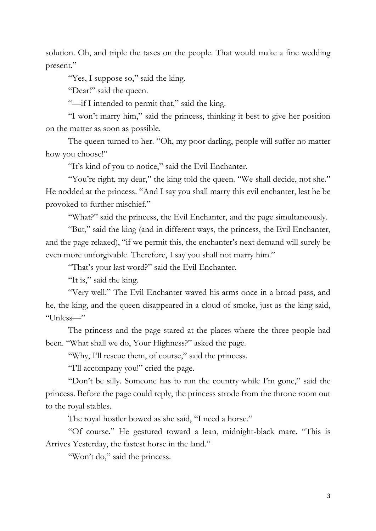solution. Oh, and triple the taxes on the people. That would make a fine wedding present."

"Yes, I suppose so," said the king.

"Dear!" said the queen.

"—if I intended to permit that," said the king.

"I won't marry him," said the princess, thinking it best to give her position on the matter as soon as possible.

The queen turned to her. "Oh, my poor darling, people will suffer no matter how you choose!"

"It's kind of you to notice," said the Evil Enchanter.

"You're right, my dear," the king told the queen. "We shall decide, not she." He nodded at the princess. "And I say you shall marry this evil enchanter, lest he be provoked to further mischief."

"What?" said the princess, the Evil Enchanter, and the page simultaneously.

"But," said the king (and in different ways, the princess, the Evil Enchanter, and the page relaxed), "if we permit this, the enchanter's next demand will surely be even more unforgivable. Therefore, I say you shall not marry him."

"That's your last word?" said the Evil Enchanter.

"It is," said the king.

"Very well." The Evil Enchanter waved his arms once in a broad pass, and he, the king, and the queen disappeared in a cloud of smoke, just as the king said, "Unless—"

The princess and the page stared at the places where the three people had been. "What shall we do, Your Highness?" asked the page.

"Why, I'll rescue them, of course," said the princess.

"I'll accompany you!" cried the page.

"Don't be silly. Someone has to run the country while I'm gone," said the princess. Before the page could reply, the princess strode from the throne room out to the royal stables.

The royal hostler bowed as she said, "I need a horse."

"Of course." He gestured toward a lean, midnight-black mare. "This is Arrives Yesterday, the fastest horse in the land."

"Won't do," said the princess.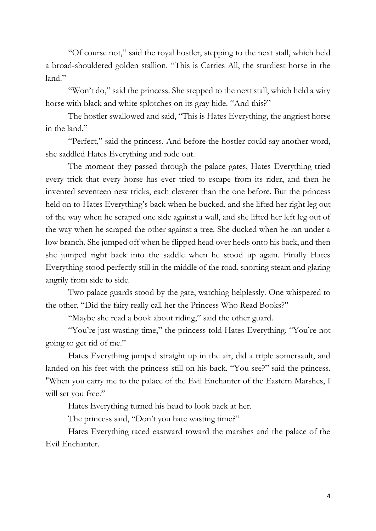"Of course not," said the royal hostler, stepping to the next stall, which held a broad-shouldered golden stallion. "This is Carries All, the sturdiest horse in the land."

"Won't do," said the princess. She stepped to the next stall, which held a wiry horse with black and white splotches on its gray hide. "And this?"

The hostler swallowed and said, "This is Hates Everything, the angriest horse in the land."

"Perfect," said the princess. And before the hostler could say another word, she saddled Hates Everything and rode out.

The moment they passed through the palace gates, Hates Everything tried every trick that every horse has ever tried to escape from its rider, and then he invented seventeen new tricks, each cleverer than the one before. But the princess held on to Hates Everything's back when he bucked, and she lifted her right leg out of the way when he scraped one side against a wall, and she lifted her left leg out of the way when he scraped the other against a tree. She ducked when he ran under a low branch. She jumped off when he flipped head over heels onto his back, and then she jumped right back into the saddle when he stood up again. Finally Hates Everything stood perfectly still in the middle of the road, snorting steam and glaring angrily from side to side.

Two palace guards stood by the gate, watching helplessly. One whispered to the other, "Did the fairy really call her the Princess Who Read Books?"

"Maybe she read a book about riding," said the other guard.

"You're just wasting time," the princess told Hates Everything. "You're not going to get rid of me."

Hates Everything jumped straight up in the air, did a triple somersault, and landed on his feet with the princess still on his back. "You see?" said the princess. "When you carry me to the palace of the Evil Enchanter of the Eastern Marshes, I will set you free."

Hates Everything turned his head to look back at her.

The princess said, "Don't you hate wasting time?"

Hates Everything raced eastward toward the marshes and the palace of the Evil Enchanter.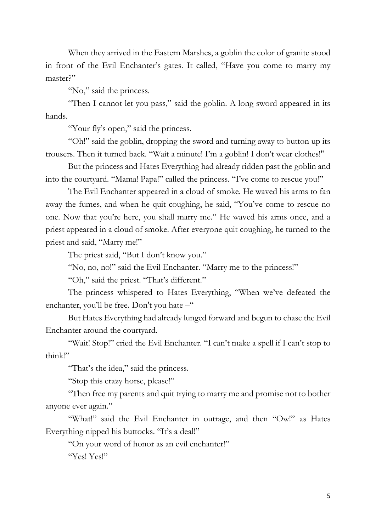When they arrived in the Eastern Marshes, a goblin the color of granite stood in front of the Evil Enchanter's gates. It called, "Have you come to marry my master?"

"No," said the princess.

"Then I cannot let you pass," said the goblin. A long sword appeared in its hands.

"Your fly's open," said the princess.

"Oh!" said the goblin, dropping the sword and turning away to button up its trousers. Then it turned back. "Wait a minute! I'm a goblin! I don't wear clothes!"

But the princess and Hates Everything had already ridden past the goblin and into the courtyard. "Mama! Papa!" called the princess. "I've come to rescue you!"

The Evil Enchanter appeared in a cloud of smoke. He waved his arms to fan away the fumes, and when he quit coughing, he said, "You've come to rescue no one. Now that you're here, you shall marry me." He waved his arms once, and a priest appeared in a cloud of smoke. After everyone quit coughing, he turned to the priest and said, "Marry me!"

The priest said, "But I don't know you."

"No, no, no!" said the Evil Enchanter. "Marry me to the princess!"

"Oh," said the priest. "That's different."

The princess whispered to Hates Everything, "When we've defeated the enchanter, you'll be free. Don't you hate –"

But Hates Everything had already lunged forward and begun to chase the Evil Enchanter around the courtyard.

"Wait! Stop!" cried the Evil Enchanter. "I can't make a spell if I can't stop to think!"

"That's the idea," said the princess.

"Stop this crazy horse, please!"

"Then free my parents and quit trying to marry me and promise not to bother anyone ever again."

"What!" said the Evil Enchanter in outrage, and then "Ow!" as Hates Everything nipped his buttocks. "It's a deal!"

"On your word of honor as an evil enchanter!"

"Yes! Yes!"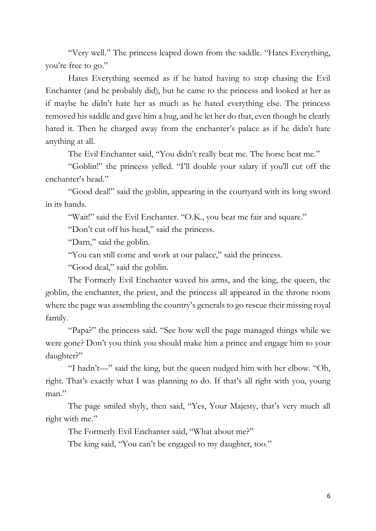"Very well." The princess leaped down from the saddle. "Hates Everything, you're free to go."

Hates Everything seemed as if he hated having to stop chasing the Evil Enchanter (and he probably did), but he came to the princess and looked at her as if maybe he didn't hate her as much as he hated everything else. The princess removed his saddle and gave him a hug, and he let her do that, even though he clearly hated it. Then he charged away from the enchanter's palace as if he didn't hate anything at all.

The Evil Enchanter said, "You didn't really beat me. The horse beat me."

"Goblin!" the princess yelled. "I'll double your salary if you'll cut off the enchanter's head."

"Good deal!" said the goblin, appearing in the courtyard with its long sword in its hands.

"Wait!" said the Evil Enchanter. "O.K., you beat me fair and square."

"Don't cut off his head," said the princess.

"Darn," said the goblin.

"You can still come and work at our palace," said the princess.

"Good deal," said the goblin.

The Formerly Evil Enchanter waved his arms, and the king, the queen, the goblin, the enchanter, the priest, and the princess all appeared in the throne room where the page was assembling the country's generals to go rescue their missing royal family.

"Papa?" the princess said. "See how well the page managed things while we were gone? Don't you think you should make him a prince and engage him to your daughter?"

"I hadn't—" said the king, but the queen nudged him with her elbow. "Oh, right. That's exactly what I was planning to do. If that's all right with you, young man."

The page smiled shyly, then said, "Yes, Your Majesty, that's very much all right with me."

The Formerly Evil Enchanter said, "What about me?"

The king said, "You can't be engaged to my daughter, too."